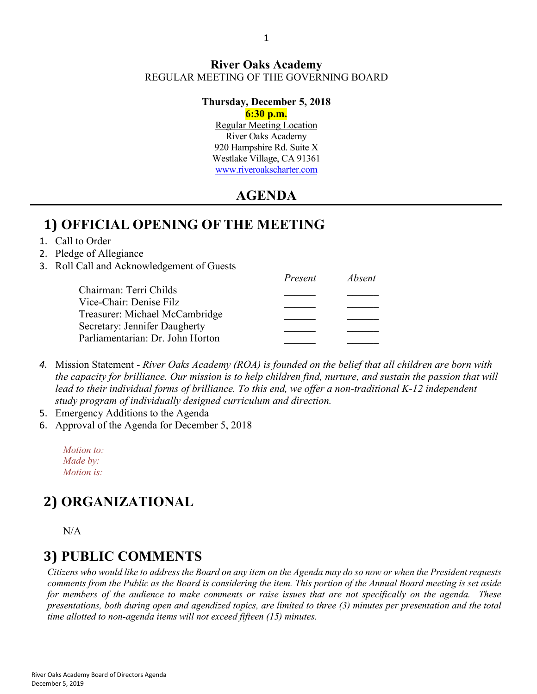#### **River Oaks Academy** REGULAR MEETING OF THE GOVERNING BOARD

#### **Thursday, December 5, 2018**

#### **6:30 p.m.**

Regular Meeting Location River Oaks Academy 920 Hampshire Rd. Suite X Westlake Village, CA 91361 [www.riveroakscharter.com](http://www.riveroakscharter.com/)

### **AGENDA**

### **1) OFFICIAL OPENING OF THE MEETING**

1. Call to Order

#### 2. Pledge of Allegiance

3. Roll Call and Acknowledgement of Guests

|                                  | Present | Absent |
|----------------------------------|---------|--------|
| Chairman: Terri Childs           |         |        |
| Vice-Chair: Denise Filz          |         |        |
| Treasurer: Michael McCambridge   |         |        |
| Secretary: Jennifer Daugherty    |         |        |
| Parliamentarian: Dr. John Horton |         |        |
|                                  |         |        |

- *4.* Mission Statement *River Oaks Academy (ROA) is founded on the belief that all children are born with the capacity for brilliance. Our mission is to help children find, nurture, and sustain the passion that will*  lead to their individual forms of brilliance. To this end, we offer a non-traditional K-12 independent *study program of individually designed curriculum and direction.*
- 5. Emergency Additions to the Agenda
- 6. Approval of the Agenda for December 5, 2018

*Motion to: Made by: Motion is:*

# **2) ORGANIZATIONAL**

N/A

### **3) PUBLIC COMMENTS**

*Citizens who would like to address the Board on any item on the Agenda may do so now or when the President requests comments from the Public as the Board is considering the item. This portion of the Annual Board meeting is set aside for members of the audience to make comments or raise issues that are not specifically on the agenda. These presentations, both during open and agendized topics, are limited to three (3) minutes per presentation and the total time allotted to non-agenda items will not exceed fifteen (15) minutes.*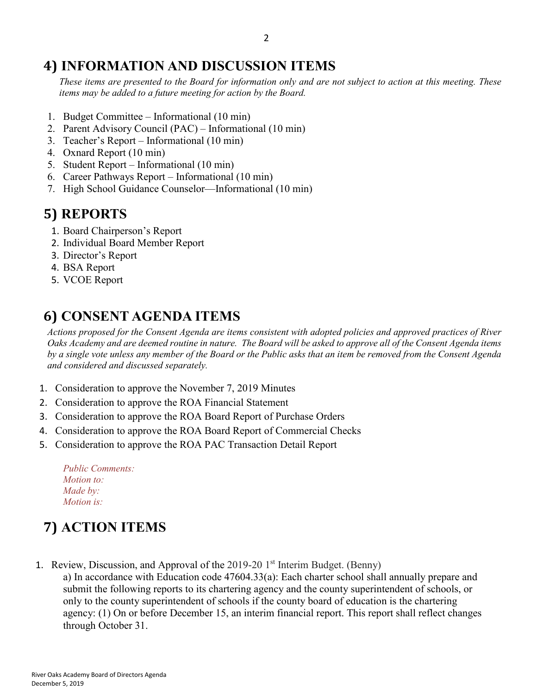# **4) INFORMATION AND DISCUSSION ITEMS**

*These items are presented to the Board for information only and are not subject to action at this meeting. These items may be added to a future meeting for action by the Board.*

- 1. Budget Committee Informational (10 min)
- 2. Parent Advisory Council (PAC) Informational (10 min)
- 3. Teacher's Report Informational (10 min)
- 4. Oxnard Report (10 min)
- 5. Student Report Informational (10 min)
- 6. Career Pathways Report Informational (10 min)
- 7. High School Guidance Counselor—Informational (10 min)

# **5) REPORTS**

- 1. Board Chairperson's Report
- 2. Individual Board Member Report
- 3. Director's Report
- 4. BSA Report
- 5. VCOE Report

# **6) CONSENT AGENDA ITEMS**

*Actions proposed for the Consent Agenda are items consistent with adopted policies and approved practices of River Oaks Academy and are deemed routine in nature. The Board will be asked to approve all of the Consent Agenda items by a single vote unless any member of the Board or the Public asks that an item be removed from the Consent Agenda and considered and discussed separately.*

- 1. Consideration to approve the November 7, 2019 Minutes
- 2. Consideration to approve the ROA Financial Statement
- 3. Consideration to approve the ROA Board Report of Purchase Orders
- 4. Consideration to approve the ROA Board Report of Commercial Checks
- 5. Consideration to approve the ROA PAC Transaction Detail Report

| <b>Public Comments:</b> |  |
|-------------------------|--|
| <i>Motion to:</i>       |  |
| Made by:                |  |
| <i>Motion is:</i>       |  |

# **7) ACTION ITEMS**

1. Review, Discussion, and Approval of the  $2019-20$  1<sup>st</sup> Interim Budget. (Benny)

a) In accordance with Education code 47604.33(a): Each charter school shall annually prepare and submit the following reports to its chartering agency and the county superintendent of schools, or only to the county superintendent of schools if the county board of education is the chartering agency: (1) On or before December 15, an interim financial report. This report shall reflect changes through October 31.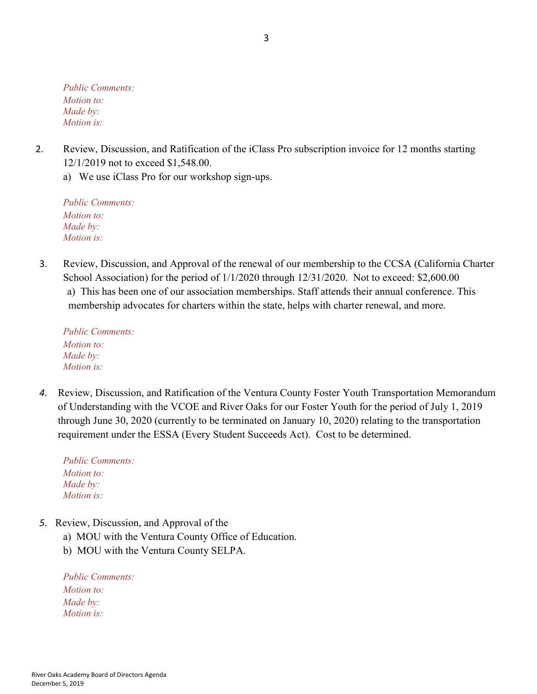*Public Comments: Motion to: Made by: Motion is:*

- 2. Review, Discussion, and Ratification of the iClass Pro subscription invoice for 12 months starting 12/1/2019 not to exceed \$1,548.00.
	- a) We use iClass Pro for our workshop sign-ups.

*Public Comments: Motion to: Made by: Motion is:*

3. Review, Discussion, and Approval of the renewal of our membership to the CCSA (California Charter School Association) for the period of  $1/1/2020$  through  $12/31/2020$ . Not to exceed: \$2,600.00 a) This has been one of our association memberships. Staff attends their annual conference. This membership advocates for charters within the state, helps with charter renewal, and more.

*Public Comments: Motion to: Made by: Motion is:*

*4.* Review, Discussion, and Ratification of the Ventura County Foster Youth Transportation Memorandum of Understanding with the VCOE and River Oaks for our Foster Youth for the period of July 1, 2019 through June 30, 2020 (currently to be terminated on January 10, 2020) relating to the transportation requirement under the ESSA (Every Student Succeeds Act). Cost to be determined.

*Public Comments: Motion to: Made by: Motion is:*

- *5.* Review, Discussion, and Approval of the
	- a) MOU with the Ventura County Office of Education.
	- b) MOU with the Ventura County SELPA.

*Public Comments: Motion to: Made by: Motion is:*